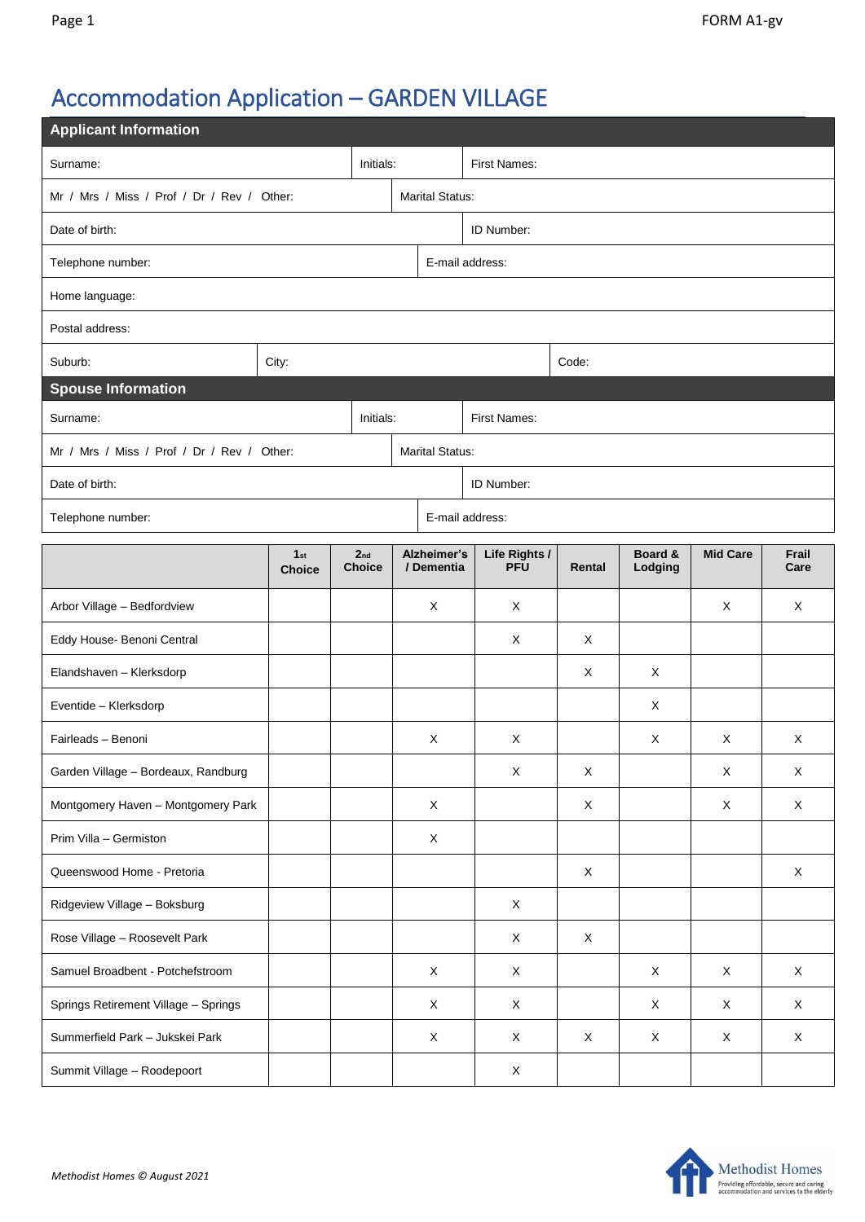## Accommodation Application – GARDEN VILLAGE

| <b>Applicant Information</b>               |                                  |                                  |  |                           |                             |             |                    |                 |               |  |  |
|--------------------------------------------|----------------------------------|----------------------------------|--|---------------------------|-----------------------------|-------------|--------------------|-----------------|---------------|--|--|
| Initials:<br>Surname:                      |                                  |                                  |  | First Names:              |                             |             |                    |                 |               |  |  |
| Mr / Mrs / Miss / Prof / Dr / Rev / Other: |                                  |                                  |  | <b>Marital Status:</b>    |                             |             |                    |                 |               |  |  |
| Date of birth:                             |                                  |                                  |  | ID Number:                |                             |             |                    |                 |               |  |  |
| Telephone number:                          |                                  |                                  |  | E-mail address:           |                             |             |                    |                 |               |  |  |
| Home language:                             |                                  |                                  |  |                           |                             |             |                    |                 |               |  |  |
| Postal address:                            |                                  |                                  |  |                           |                             |             |                    |                 |               |  |  |
| Suburb:                                    | City:                            |                                  |  | Code:                     |                             |             |                    |                 |               |  |  |
| <b>Spouse Information</b>                  |                                  |                                  |  |                           |                             |             |                    |                 |               |  |  |
| Initials:<br>Surname:                      |                                  |                                  |  | First Names:              |                             |             |                    |                 |               |  |  |
| Mr / Mrs / Miss / Prof / Dr / Rev / Other: |                                  |                                  |  | <b>Marital Status:</b>    |                             |             |                    |                 |               |  |  |
| Date of birth:                             |                                  |                                  |  | ID Number:                |                             |             |                    |                 |               |  |  |
| Telephone number:                          |                                  |                                  |  | E-mail address:           |                             |             |                    |                 |               |  |  |
|                                            | 1 <sub>st</sub><br><b>Choice</b> | 2 <sub>nd</sub><br><b>Choice</b> |  | Alzheimer's<br>/ Dementia | Life Rights /<br><b>PFU</b> | Rental      | Board &<br>Lodging | <b>Mid Care</b> | Frail<br>Care |  |  |
| Arbor Village - Bedfordview                |                                  |                                  |  | X                         | X                           |             |                    | X               | X             |  |  |
| Eddy House- Benoni Central                 |                                  |                                  |  |                           | X                           | X           |                    |                 |               |  |  |
| Elandshaven - Klerksdorp                   |                                  |                                  |  |                           |                             | X           | X                  |                 |               |  |  |
| Eventide - Klerksdorp                      |                                  |                                  |  |                           |                             |             | X                  |                 |               |  |  |
| Fairleads - Benoni                         |                                  |                                  |  | X                         | X                           |             | X                  | X               | X             |  |  |
| Garden Village - Bordeaux, Randburg        |                                  |                                  |  |                           | X                           | $\mathsf X$ |                    | Χ               | X             |  |  |
| Montgomery Haven - Montgomery Park         |                                  |                                  |  | X                         |                             | X           |                    | X               | X             |  |  |
| Prim Villa - Germiston                     |                                  |                                  |  | X                         |                             |             |                    |                 |               |  |  |
| Queenswood Home - Pretoria                 |                                  |                                  |  |                           |                             | $\mathsf X$ |                    |                 | $\mathsf X$   |  |  |
| Ridgeview Village - Boksburg               |                                  |                                  |  |                           | X                           |             |                    |                 |               |  |  |
| Rose Village - Roosevelt Park              |                                  |                                  |  |                           | X                           | $\mathsf X$ |                    |                 |               |  |  |
| Samuel Broadbent - Potchefstroom           |                                  |                                  |  | $\mathsf X$               | $\mathsf X$                 |             | X                  | X               | $\mathsf X$   |  |  |
| Springs Retirement Village - Springs       |                                  |                                  |  | X                         | X                           |             | X                  | X               | X             |  |  |
| Summerfield Park - Jukskei Park            |                                  |                                  |  | $\mathsf{X}$              | X                           | $\mathsf X$ | X                  | X               | $\mathsf X$   |  |  |
| Summit Village - Roodepoort                |                                  |                                  |  |                           | X                           |             |                    |                 |               |  |  |

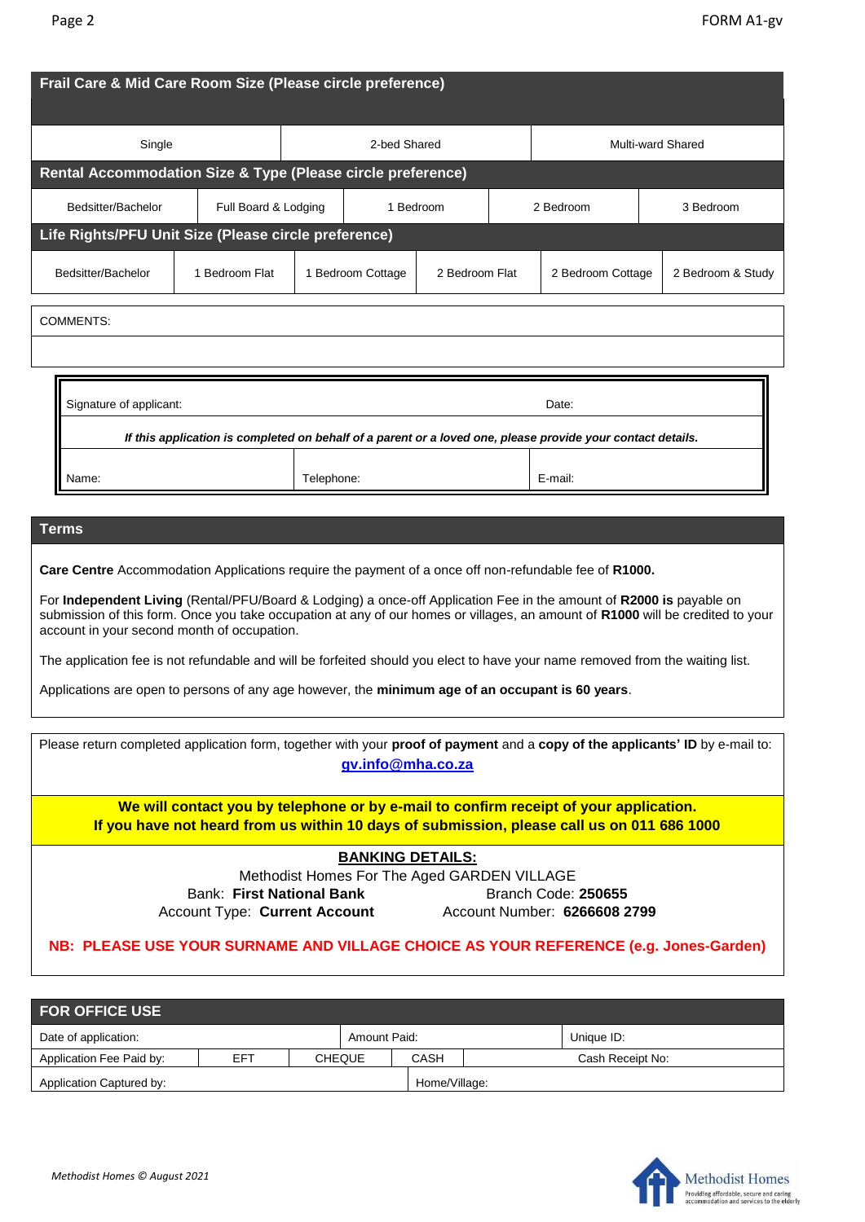| Single                                                                                                                                                                                                                                                                                                                                                                                                                                                                                                                                         |                                   | 2-bed Shared |                   |                | <b>Multi-ward Shared</b> |         |                   |  |  |
|------------------------------------------------------------------------------------------------------------------------------------------------------------------------------------------------------------------------------------------------------------------------------------------------------------------------------------------------------------------------------------------------------------------------------------------------------------------------------------------------------------------------------------------------|-----------------------------------|--------------|-------------------|----------------|--------------------------|---------|-------------------|--|--|
| Rental Accommodation Size & Type (Please circle preference)                                                                                                                                                                                                                                                                                                                                                                                                                                                                                    |                                   |              |                   |                |                          |         |                   |  |  |
| Bedsitter/Bachelor                                                                                                                                                                                                                                                                                                                                                                                                                                                                                                                             | Full Board & Lodging<br>1 Bedroom |              |                   |                | 2 Bedroom<br>3 Bedroom   |         |                   |  |  |
| Life Rights/PFU Unit Size (Please circle preference)                                                                                                                                                                                                                                                                                                                                                                                                                                                                                           |                                   |              |                   |                |                          |         |                   |  |  |
| Bedsitter/Bachelor                                                                                                                                                                                                                                                                                                                                                                                                                                                                                                                             | 1 Bedroom Flat                    |              | 1 Bedroom Cottage | 2 Bedroom Flat | 2 Bedroom Cottage        |         | 2 Bedroom & Study |  |  |
| <b>COMMENTS:</b>                                                                                                                                                                                                                                                                                                                                                                                                                                                                                                                               |                                   |              |                   |                |                          |         |                   |  |  |
|                                                                                                                                                                                                                                                                                                                                                                                                                                                                                                                                                |                                   |              |                   |                |                          |         |                   |  |  |
| Signature of applicant:<br>Date:<br>If this application is completed on behalf of a parent or a loved one, please provide your contact details.                                                                                                                                                                                                                                                                                                                                                                                                |                                   |              |                   |                |                          |         |                   |  |  |
|                                                                                                                                                                                                                                                                                                                                                                                                                                                                                                                                                |                                   |              |                   |                |                          |         |                   |  |  |
| Name:                                                                                                                                                                                                                                                                                                                                                                                                                                                                                                                                          |                                   | Telephone:   |                   |                |                          | E-mail: |                   |  |  |
| <b>Terms</b>                                                                                                                                                                                                                                                                                                                                                                                                                                                                                                                                   |                                   |              |                   |                |                          |         |                   |  |  |
|                                                                                                                                                                                                                                                                                                                                                                                                                                                                                                                                                |                                   |              |                   |                |                          |         |                   |  |  |
| Care Centre Accommodation Applications require the payment of a once off non-refundable fee of R1000.<br>For Independent Living (Rental/PFU/Board & Lodging) a once-off Application Fee in the amount of R2000 is payable on<br>submission of this form. Once you take occupation at any of our homes or villages, an amount of R1000 will be credited to your<br>account in your second month of occupation.<br>The application fee is not refundable and will be forfeited should you elect to have your name removed from the waiting list. |                                   |              |                   |                |                          |         |                   |  |  |

| Please return completed application form, together with your proof of payment and a copy of the applicants' ID by e-mail to:<br>gv.info@mha.co.za |                                                                                       |
|---------------------------------------------------------------------------------------------------------------------------------------------------|---------------------------------------------------------------------------------------|
| If you have not heard from us within 10 days of submission, please call us on 011 686 1000                                                        | We will contact you by telephone or by e-mail to confirm receipt of your application. |
| <b>BANKING DETAILS:</b>                                                                                                                           |                                                                                       |
|                                                                                                                                                   | Methodist Homes For The Aged GARDEN VILLAGE                                           |
| Bank: First National Bank                                                                                                                         | Branch Code: 250655                                                                   |
| <b>Account Type: Current Account</b>                                                                                                              | Account Number: 6266608 2799                                                          |
|                                                                                                                                                   | NB: PLEASE USE YOUR SURNAME AND VILLAGE CHOICE AS YOUR REFERENCE (e.g. Jones-Garden)  |

| <b>FOR OFFICE USE</b>    |     |  |               |               |                  |  |  |  |  |
|--------------------------|-----|--|---------------|---------------|------------------|--|--|--|--|
| Date of application:     |     |  | Amount Paid:  |               | Unique ID:       |  |  |  |  |
| Application Fee Paid by: | EFT |  | <b>CHEQUE</b> | CASH          | Cash Receipt No: |  |  |  |  |
| Application Captured by: |     |  |               | Home/Village: |                  |  |  |  |  |

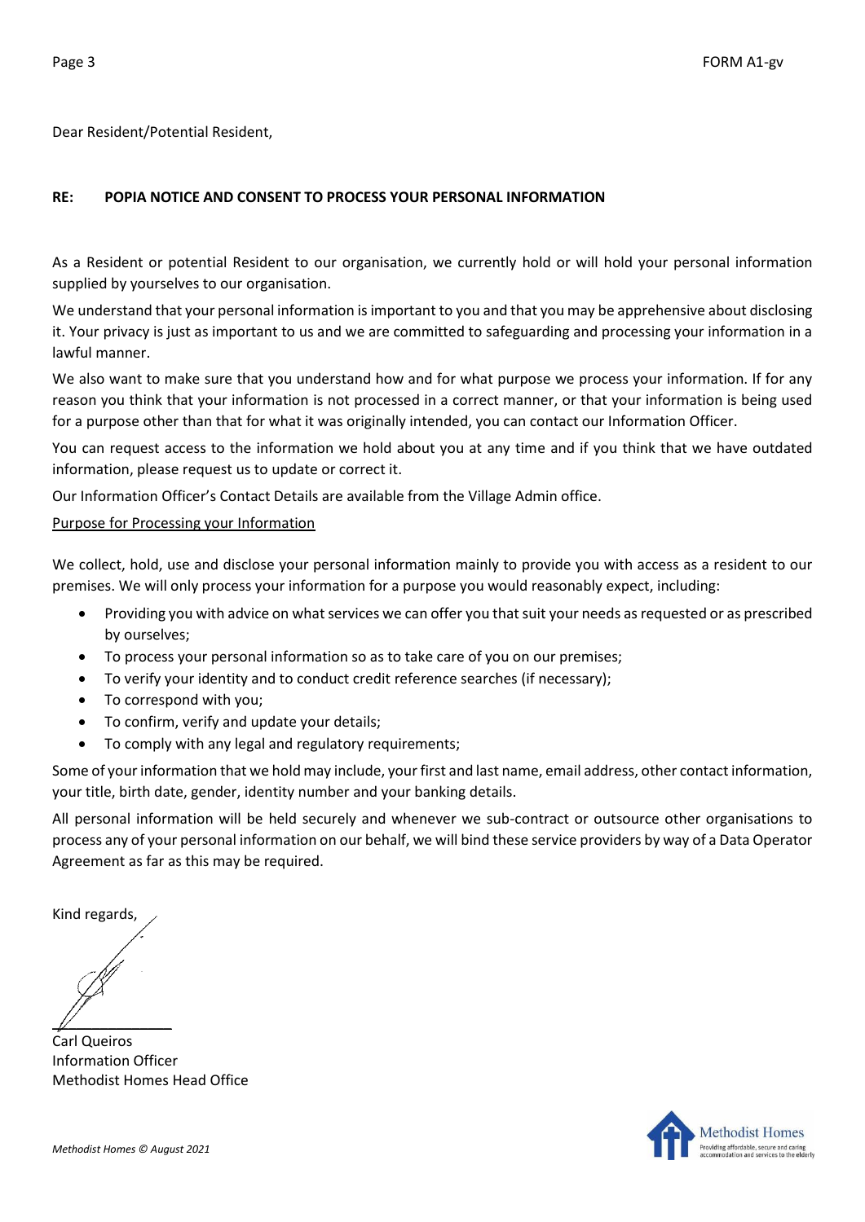Dear Resident/Potential Resident,

## **RE: POPIA NOTICE AND CONSENT TO PROCESS YOUR PERSONAL INFORMATION**

As a Resident or potential Resident to our organisation, we currently hold or will hold your personal information supplied by yourselves to our organisation.

We understand that your personal information is important to you and that you may be apprehensive about disclosing it. Your privacy is just as important to us and we are committed to safeguarding and processing your information in a lawful manner.

We also want to make sure that you understand how and for what purpose we process your information. If for any reason you think that your information is not processed in a correct manner, or that your information is being used for a purpose other than that for what it was originally intended, you can contact our Information Officer.

You can request access to the information we hold about you at any time and if you think that we have outdated information, please request us to update or correct it.

Our Information Officer's Contact Details are available from the Village Admin office.

## Purpose for Processing your Information

We collect, hold, use and disclose your personal information mainly to provide you with access as a resident to our premises. We will only process your information for a purpose you would reasonably expect, including:

- Providing you with advice on what services we can offer you that suit your needs as requested or as prescribed by ourselves;
- To process your personal information so as to take care of you on our premises;
- To verify your identity and to conduct credit reference searches (if necessary);
- To correspond with you;
- To confirm, verify and update your details;
- To comply with any legal and regulatory requirements;

Some of your information that we hold may include, your first and last name, email address, other contact information, your title, birth date, gender, identity number and your banking details.

All personal information will be held securely and whenever we sub-contract or outsource other organisations to process any of your personal information on our behalf, we will bind these service providers by way of a Data Operator Agreement as far as this may be required.

Kind regards,

 $\mathbb{Z}$ 

Carl Queiros Information Officer Methodist Homes Head Office